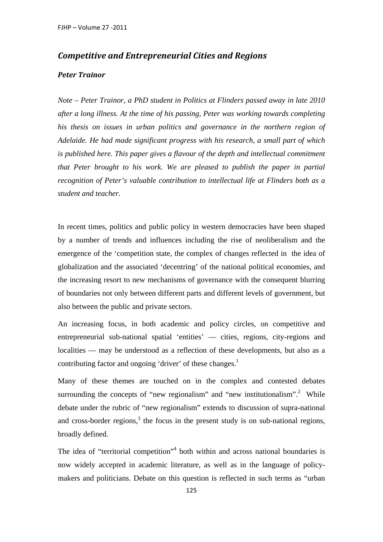## *Competitive and Entrepreneurial Cities and Regions*

## *Peter Trainor*

*Note – Peter Trainor, a PhD student in Politics at Flinders passed away in late 2010 after a long illness. At the time of his passing, Peter was working towards completing his thesis on issues in urban politics and governance in the northern region of Adelaide. He had made significant progress with his research, a small part of which is published here. This paper gives a flavour of the depth and intellectual commitment that Peter brought to his work. We are pleased to publish the paper in partial recognition of Peter's valuable contribution to intellectual life at Flinders both as a student and teacher.* 

In recent times, politics and public policy in western democracies have been shaped by a number of trends and influences including the rise of neoliberalism and the emergence of the 'competition state, the complex of changes reflected in the idea of globalization and the associated 'decentring' of the national political economies, and the increasing resort to new mechanisms of governance with the consequent blurring of boundaries not only between different parts and different levels of government, but also between the public and private sectors.

An increasing focus, in both academic and policy circles, on competitive and entrepreneurial sub-national spatial 'entities' — cities, regions, city-regions and localities — may be understood as a reflection of these developments, but also as a contributing factor and ongoing 'driver' of these changes.<sup>1</sup>

Many of these themes are touched on in the complex and contested debates surrounding the concepts of "new regionalism" and "new institutionalism".<sup>2</sup> While debate under the rubric of "new regionalism" extends to discussion of supra-national and cross-border regions, $3$  the focus in the present study is on sub-national regions, broadly defined.

The idea of "territorial competition"<sup>4</sup> both within and across national boundaries is now widely accepted in academic literature, as well as in the language of policymakers and politicians. Debate on this question is reflected in such terms as "urban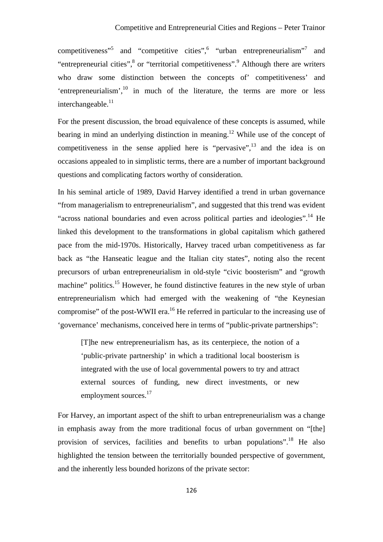competitiveness"<sup>5</sup> and "competitive cities", "urban entrepreneurialism"<sup>7</sup> and "entrepreneurial cities",<sup>8</sup> or "territorial competitiveness".<sup>9</sup> Although there are writers who draw some distinction between the concepts of' competitiveness' and 'entrepreneurialism', $^{10}$  in much of the literature, the terms are more or less interchangeable.<sup>11</sup>

For the present discussion, the broad equivalence of these concepts is assumed, while bearing in mind an underlying distinction in meaning.<sup>12</sup> While use of the concept of competitiveness in the sense applied here is "pervasive", $^{13}$  and the idea is on occasions appealed to in simplistic terms, there are a number of important background questions and complicating factors worthy of consideration.

In his seminal article of 1989, David Harvey identified a trend in urban governance "from managerialism to entrepreneurialism", and suggested that this trend was evident "across national boundaries and even across political parties and ideologies".<sup>14</sup> He linked this development to the transformations in global capitalism which gathered pace from the mid-1970s. Historically, Harvey traced urban competitiveness as far back as "the Hanseatic league and the Italian city states", noting also the recent precursors of urban entrepreneurialism in old-style "civic boosterism" and "growth machine" politics.<sup>15</sup> However, he found distinctive features in the new style of urban entrepreneurialism which had emerged with the weakening of "the Keynesian compromise" of the post-WWII era.<sup>16</sup> He referred in particular to the increasing use of 'governance' mechanisms, conceived here in terms of "public-private partnerships":

[T]he new entrepreneurialism has, as its centerpiece, the notion of a 'public-private partnership' in which a traditional local boosterism is integrated with the use of local governmental powers to try and attract external sources of funding, new direct investments, or new employment sources.<sup>17</sup>

For Harvey, an important aspect of the shift to urban entrepreneurialism was a change in emphasis away from the more traditional focus of urban government on "[the] provision of services, facilities and benefits to urban populations".18 He also highlighted the tension between the territorially bounded perspective of government, and the inherently less bounded horizons of the private sector: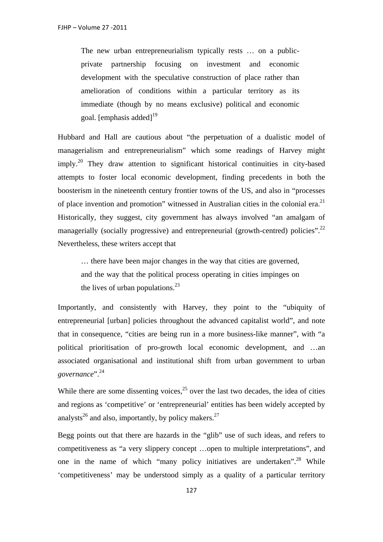The new urban entrepreneurialism typically rests … on a publicprivate partnership focusing on investment and economic development with the speculative construction of place rather than amelioration of conditions within a particular territory as its immediate (though by no means exclusive) political and economic goal. [emphasis added] $19$ 

Hubbard and Hall are cautious about "the perpetuation of a dualistic model of managerialism and entrepreneurialism" which some readings of Harvey might  $\text{imply.}^{20}$  They draw attention to significant historical continuities in city-based attempts to foster local economic development, finding precedents in both the boosterism in the nineteenth century frontier towns of the US, and also in "processes of place invention and promotion" witnessed in Australian cities in the colonial era.<sup>21</sup> Historically, they suggest, city government has always involved "an amalgam of managerially (socially progressive) and entrepreneurial (growth-centred) policies".<sup>22</sup> Nevertheless, these writers accept that

… there have been major changes in the way that cities are governed, and the way that the political process operating in cities impinges on the lives of urban populations. $^{23}$ 

Importantly, and consistently with Harvey, they point to the "ubiquity of entrepreneurial [urban] policies throughout the advanced capitalist world", and note that in consequence, "cities are being run in a more business-like manner", with "a political prioritisation of pro-growth local economic development, and …an associated organisational and institutional shift from urban government to urban *governance*".24

While there are some dissenting voices,  $2<sup>5</sup>$  over the last two decades, the idea of cities and regions as 'competitive' or 'entrepreneurial' entities has been widely accepted by analysts<sup>26</sup> and also, importantly, by policy makers.<sup>27</sup>

Begg points out that there are hazards in the "glib" use of such ideas, and refers to competitiveness as "a very slippery concept …open to multiple interpretations", and one in the name of which "many policy initiatives are undertaken".<sup>28</sup> While 'competitiveness' may be understood simply as a quality of a particular territory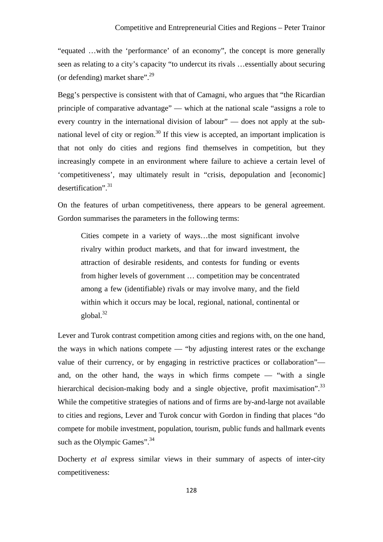"equated …with the 'performance' of an economy", the concept is more generally seen as relating to a city's capacity "to undercut its rivals …essentially about securing (or defending) market share". $^{29}$ 

Begg's perspective is consistent with that of Camagni, who argues that "the Ricardian principle of comparative advantage" — which at the national scale "assigns a role to every country in the international division of labour" — does not apply at the subnational level of city or region.<sup>30</sup> If this view is accepted, an important implication is that not only do cities and regions find themselves in competition, but they increasingly compete in an environment where failure to achieve a certain level of 'competitiveness', may ultimately result in "crisis, depopulation and [economic] desertification". $31$ 

On the features of urban competitiveness, there appears to be general agreement. Gordon summarises the parameters in the following terms:

Cities compete in a variety of ways…the most significant involve rivalry within product markets, and that for inward investment, the attraction of desirable residents, and contests for funding or events from higher levels of government … competition may be concentrated among a few (identifiable) rivals or may involve many, and the field within which it occurs may be local, regional, national, continental or global. $32$ 

Lever and Turok contrast competition among cities and regions with, on the one hand, the ways in which nations compete — "by adjusting interest rates or the exchange value of their currency, or by engaging in restrictive practices or collaboration" and, on the other hand, the ways in which firms compete — "with a single hierarchical decision-making body and a single objective, profit maximisation".<sup>33</sup> While the competitive strategies of nations and of firms are by-and-large not available to cities and regions, Lever and Turok concur with Gordon in finding that places "do compete for mobile investment, population, tourism, public funds and hallmark events such as the Olympic Games".<sup>34</sup>

Docherty *et al* express similar views in their summary of aspects of inter-city competitiveness: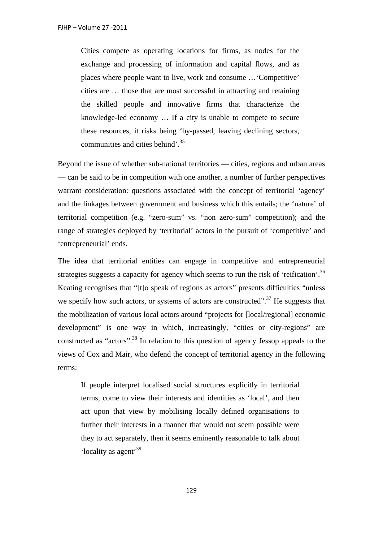Cities compete as operating locations for firms, as nodes for the exchange and processing of information and capital flows, and as places where people want to live, work and consume …'Competitive' cities are … those that are most successful in attracting and retaining the skilled people and innovative firms that characterize the knowledge-led economy … If a city is unable to compete to secure these resources, it risks being 'by-passed, leaving declining sectors, communities and cities behind'.<sup>35</sup>

Beyond the issue of whether sub-national territories — cities, regions and urban areas — can be said to be in competition with one another, a number of further perspectives warrant consideration: questions associated with the concept of territorial 'agency' and the linkages between government and business which this entails; the 'nature' of territorial competition (e.g. "zero-sum" vs. "non zero-sum" competition); and the range of strategies deployed by 'territorial' actors in the pursuit of 'competitive' and 'entrepreneurial' ends.

The idea that territorial entities can engage in competitive and entrepreneurial strategies suggests a capacity for agency which seems to run the risk of 'reification'.<sup>36</sup> Keating recognises that "[t]o speak of regions as actors" presents difficulties "unless we specify how such actors, or systems of actors are constructed".<sup>37</sup> He suggests that the mobilization of various local actors around "projects for [local/regional] economic development" is one way in which, increasingly, "cities or city-regions" are constructed as "actors".<sup>38</sup> In relation to this question of agency Jessop appeals to the views of Cox and Mair, who defend the concept of territorial agency in the following terms:

If people interpret localised social structures explicitly in territorial terms, come to view their interests and identities as 'local', and then act upon that view by mobilising locally defined organisations to further their interests in a manner that would not seem possible were they to act separately, then it seems eminently reasonable to talk about 'locality as agent'39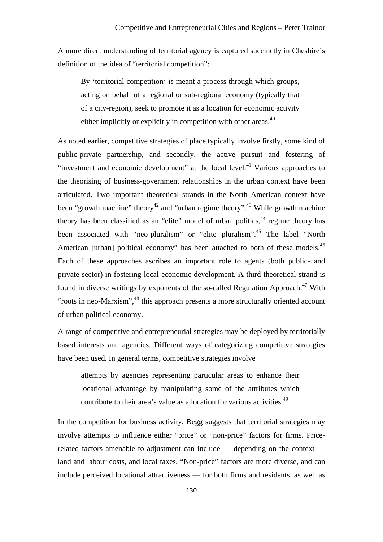A more direct understanding of territorial agency is captured succinctly in Cheshire's definition of the idea of "territorial competition":

By 'territorial competition' is meant a process through which groups, acting on behalf of a regional or sub-regional economy (typically that of a city-region), seek to promote it as a location for economic activity either implicitly or explicitly in competition with other areas.<sup>40</sup>

As noted earlier, competitive strategies of place typically involve firstly, some kind of public-private partnership, and secondly, the active pursuit and fostering of "investment and economic development" at the local level.<sup>41</sup> Various approaches to the theorising of business-government relationships in the urban context have been articulated. Two important theoretical strands in the North American context have been "growth machine" theory<sup>42</sup> and "urban regime theory".<sup>43</sup> While growth machine theory has been classified as an "elite" model of urban politics,<sup>44</sup> regime theory has been associated with "neo-pluralism" or "elite pluralism".<sup>45</sup> The label "North American [urban] political economy" has been attached to both of these models.<sup>46</sup> Each of these approaches ascribes an important role to agents (both public- and private-sector) in fostering local economic development. A third theoretical strand is found in diverse writings by exponents of the so-called Regulation Approach.<sup>47</sup> With "roots in neo-Marxism",<sup>48</sup> this approach presents a more structurally oriented account of urban political economy.

A range of competitive and entrepreneurial strategies may be deployed by territorially based interests and agencies. Different ways of categorizing competitive strategies have been used. In general terms, competitive strategies involve

attempts by agencies representing particular areas to enhance their locational advantage by manipulating some of the attributes which contribute to their area's value as a location for various activities.<sup>49</sup>

In the competition for business activity, Begg suggests that territorial strategies may involve attempts to influence either "price" or "non-price" factors for firms. Pricerelated factors amenable to adjustment can include — depending on the context land and labour costs, and local taxes. "Non-price" factors are more diverse, and can include perceived locational attractiveness — for both firms and residents, as well as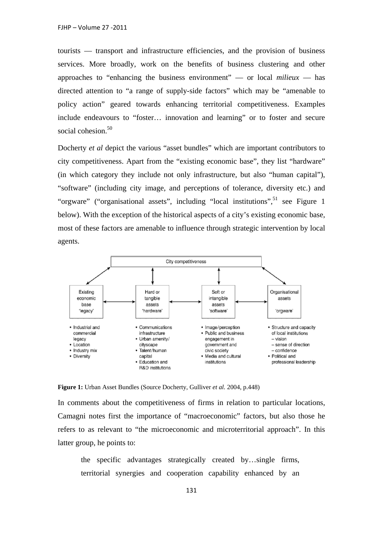tourists — transport and infrastructure efficiencies, and the provision of business services. More broadly, work on the benefits of business clustering and other approaches to "enhancing the business environment" — or local *milieux* — has directed attention to "a range of supply-side factors" which may be "amenable to policy action" geared towards enhancing territorial competitiveness. Examples include endeavours to "foster… innovation and learning" or to foster and secure social cohesion.<sup>50</sup>

Docherty *et al* depict the various "asset bundles" which are important contributors to city competitiveness. Apart from the "existing economic base", they list "hardware" (in which category they include not only infrastructure, but also "human capital"), "software" (including city image, and perceptions of tolerance, diversity etc.) and "orgware" ("organisational assets", including "local institutions",  $51$  see Figure 1 below). With the exception of the historical aspects of a city's existing economic base, most of these factors are amenable to influence through strategic intervention by local agents.



**Figure 1:** Urban Asset Bundles (Source Docherty, Gulliver *et al.* 2004, p.448)

In comments about the competitiveness of firms in relation to particular locations, Camagni notes first the importance of "macroeconomic" factors, but also those he refers to as relevant to "the microeconomic and microterritorial approach". In this latter group, he points to:

the specific advantages strategically created by…single firms, territorial synergies and cooperation capability enhanced by an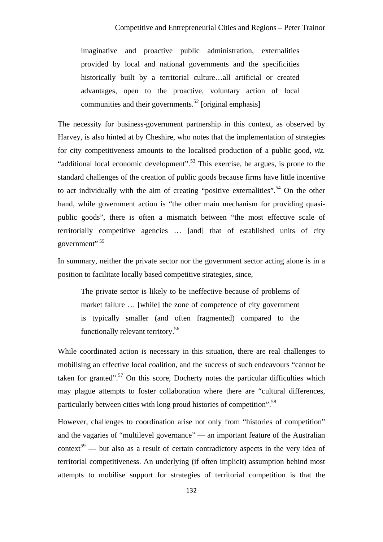imaginative and proactive public administration, externalities provided by local and national governments and the specificities historically built by a territorial culture…all artificial or created advantages, open to the proactive, voluntary action of local communities and their governments.<sup>52</sup> [original emphasis]

The necessity for business-government partnership in this context, as observed by Harvey, is also hinted at by Cheshire, who notes that the implementation of strategies for city competitiveness amounts to the localised production of a public good, *viz.* "additional local economic development".<sup>53</sup> This exercise, he argues, is prone to the standard challenges of the creation of public goods because firms have little incentive to act individually with the aim of creating "positive externalities".<sup>54</sup> On the other hand, while government action is "the other main mechanism for providing quasipublic goods", there is often a mismatch between "the most effective scale of territorially competitive agencies … [and] that of established units of city government" 55

In summary, neither the private sector nor the government sector acting alone is in a position to facilitate locally based competitive strategies, since,

The private sector is likely to be ineffective because of problems of market failure … [while] the zone of competence of city government is typically smaller (and often fragmented) compared to the functionally relevant territory.56

While coordinated action is necessary in this situation, there are real challenges to mobilising an effective local coalition, and the success of such endeavours "cannot be taken for granted".<sup>57</sup> On this score, Docherty notes the particular difficulties which may plague attempts to foster collaboration where there are "cultural differences, particularly between cities with long proud histories of competition".58

However, challenges to coordination arise not only from "histories of competition" and the vagaries of "multilevel governance" — an important feature of the Australian context<sup>59</sup> — but also as a result of certain contradictory aspects in the very idea of territorial competitiveness. An underlying (if often implicit) assumption behind most attempts to mobilise support for strategies of territorial competition is that the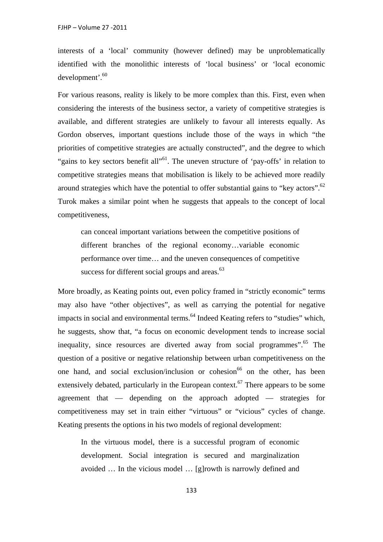interests of a 'local' community (however defined) may be unproblematically identified with the monolithic interests of 'local business' or 'local economic development'.<sup>60</sup>

For various reasons, reality is likely to be more complex than this. First, even when considering the interests of the business sector, a variety of competitive strategies is available, and different strategies are unlikely to favour all interests equally. As Gordon observes, important questions include those of the ways in which "the priorities of competitive strategies are actually constructed", and the degree to which "gains to key sectors benefit all"<sup>61</sup>. The uneven structure of 'pay-offs' in relation to competitive strategies means that mobilisation is likely to be achieved more readily around strategies which have the potential to offer substantial gains to "key actors".<sup>62</sup> Turok makes a similar point when he suggests that appeals to the concept of local competitiveness,

can conceal important variations between the competitive positions of different branches of the regional economy…variable economic performance over time… and the uneven consequences of competitive success for different social groups and areas.<sup>63</sup>

More broadly, as Keating points out, even policy framed in "strictly economic" terms may also have "other objectives", as well as carrying the potential for negative impacts in social and environmental terms.<sup>64</sup> Indeed Keating refers to "studies" which, he suggests, show that, "a focus on economic development tends to increase social inequality, since resources are diverted away from social programmes".<sup>65</sup> The question of a positive or negative relationship between urban competitiveness on the one hand, and social exclusion/inclusion or cohesion<sup>66</sup> on the other, has been extensively debated, particularly in the European context.<sup>67</sup> There appears to be some agreement that — depending on the approach adopted — strategies for competitiveness may set in train either "virtuous" or "vicious" cycles of change. Keating presents the options in his two models of regional development:

In the virtuous model, there is a successful program of economic development. Social integration is secured and marginalization avoided … In the vicious model … [g]rowth is narrowly defined and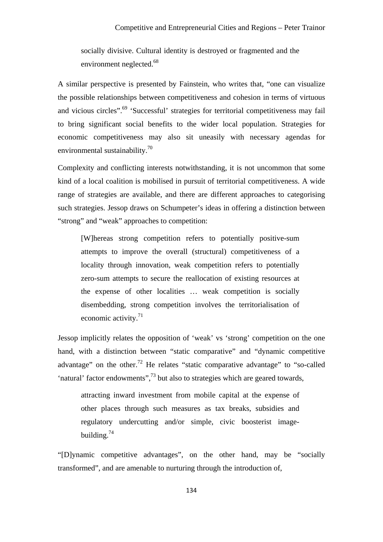socially divisive. Cultural identity is destroyed or fragmented and the environment neglected.<sup>68</sup>

A similar perspective is presented by Fainstein, who writes that, "one can visualize the possible relationships between competitiveness and cohesion in terms of virtuous and vicious circles".<sup>69</sup> 'Successful' strategies for territorial competitiveness may fail to bring significant social benefits to the wider local population. Strategies for economic competitiveness may also sit uneasily with necessary agendas for environmental sustainability.<sup>70</sup>

Complexity and conflicting interests notwithstanding, it is not uncommon that some kind of a local coalition is mobilised in pursuit of territorial competitiveness. A wide range of strategies are available, and there are different approaches to categorising such strategies. Jessop draws on Schumpeter's ideas in offering a distinction between "strong" and "weak" approaches to competition:

[W]hereas strong competition refers to potentially positive-sum attempts to improve the overall (structural) competitiveness of a locality through innovation, weak competition refers to potentially zero-sum attempts to secure the reallocation of existing resources at the expense of other localities … weak competition is socially disembedding, strong competition involves the territorialisation of economic activity.<sup>71</sup>

Jessop implicitly relates the opposition of 'weak' vs 'strong' competition on the one hand, with a distinction between "static comparative" and "dynamic competitive advantage" on the other.<sup>72</sup> He relates "static comparative advantage" to "so-called" 'natural' factor endowments",73 but also to strategies which are geared towards,

attracting inward investment from mobile capital at the expense of other places through such measures as tax breaks, subsidies and regulatory undercutting and/or simple, civic boosterist imagebuilding. $74$ 

"[D]ynamic competitive advantages", on the other hand, may be "socially transformed", and are amenable to nurturing through the introduction of,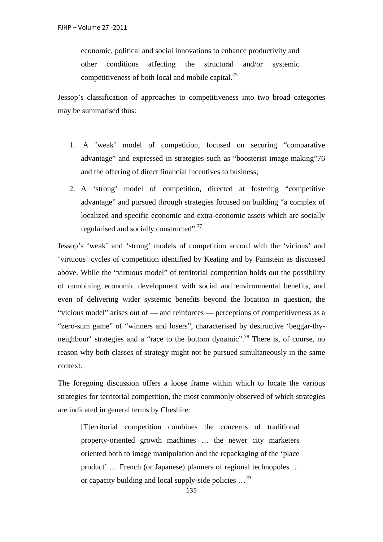economic, political and social innovations to enhance productivity and other conditions affecting the structural and/or systemic competitiveness of both local and mobile capital.75

Jessop's classification of approaches to competitiveness into two broad categories may be summarised thus:

- 1. A 'weak' model of competition, focused on securing "comparative advantage" and expressed in strategies such as "boosterist image-making"76 and the offering of direct financial incentives to business;
- 2. A 'strong' model of competition, directed at fostering "competitive advantage" and pursued through strategies focused on building "a complex of localized and specific economic and extra-economic assets which are socially regularised and socially constructed".<sup>77</sup>

Jessop's 'weak' and 'strong' models of competition accord with the 'vicious' and 'virtuous' cycles of competition identified by Keating and by Fainstein as discussed above. While the "virtuous model" of territorial competition holds out the possibility of combining economic development with social and environmental benefits, and even of delivering wider systemic benefits beyond the location in question, the "vicious model" arises out of — and reinforces — perceptions of competitiveness as a "zero-sum game" of "winners and losers", characterised by destructive 'beggar-thyneighbour' strategies and a "race to the bottom dynamic".78 There is, of course, no reason why both classes of strategy might not be pursued simultaneously in the same context.

The foregoing discussion offers a loose frame within which to locate the various strategies for territorial competition, the most commonly observed of which strategies are indicated in general terms by Cheshire:

[T]erritorial competition combines the concerns of traditional property-oriented growth machines … the newer city marketers oriented both to image manipulation and the repackaging of the 'place product' … French (or Japanese) planners of regional technopoles … or capacity building and local supply-side policies …<sup>79</sup>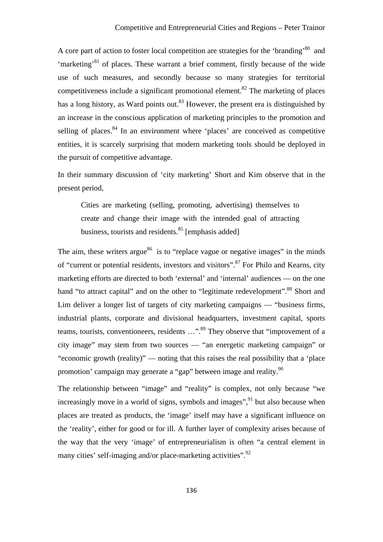A core part of action to foster local competition are strategies for the 'branding'<sup>80</sup> and 'marketing'81 of places. These warrant a brief comment, firstly because of the wide use of such measures, and secondly because so many strategies for territorial competitiveness include a significant promotional element.<sup>82</sup> The marketing of places has a long history, as Ward points out.<sup>83</sup> However, the present era is distinguished by an increase in the conscious application of marketing principles to the promotion and selling of places. $84$  In an environment where 'places' are conceived as competitive entities, it is scarcely surprising that modern marketing tools should be deployed in the pursuit of competitive advantage.

In their summary discussion of 'city marketing' Short and Kim observe that in the present period,

Cities are marketing (selling, promoting, advertising) themselves to create and change their image with the intended goal of attracting business, tourists and residents.<sup>85</sup> [emphasis added]

The aim, these writers argue $^{86}$  is to "replace vague or negative images" in the minds of "current or potential residents, investors and visitors".87 For Philo and Kearns, city marketing efforts are directed to both 'external' and 'internal' audiences — on the one hand "to attract capital" and on the other to "legitimate redevelopment".<sup>88</sup> Short and Lim deliver a longer list of targets of city marketing campaigns — "business firms, industrial plants, corporate and divisional headquarters, investment capital, sports teams, tourists, conventioneers, residents ...".<sup>89</sup> They observe that "improvement of a city image" may stem from two sources — "an energetic marketing campaign" or "economic growth (reality)" — noting that this raises the real possibility that a 'place promotion' campaign may generate a "gap" between image and reality.<sup>90</sup>

The relationship between "image" and "reality" is complex, not only because "we increasingly move in a world of signs, symbols and images",  $91$  but also because when places are treated as products, the 'image' itself may have a significant influence on the 'reality', either for good or for ill. A further layer of complexity arises because of the way that the very 'image' of entrepreneurialism is often "a central element in many cities' self-imaging and/or place-marketing activities".<sup>92</sup>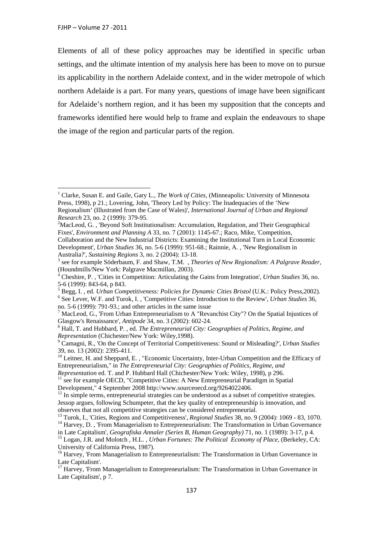Elements of all of these policy approaches may be identified in specific urban settings, and the ultimate intention of my analysis here has been to move on to pursue its applicability in the northern Adelaide context, and in the wider metropole of which northern Adelaide is a part. For many years, questions of image have been significant for Adelaide's northern region, and it has been my supposition that the concepts and frameworks identified here would help to frame and explain the endeavours to shape the image of the region and particular parts of the region.

<sup>&</sup>lt;sup>1</sup> Clarke, Susan E. and Gaile, Gary L., *The Work of Cities*, (Minneapolis: University of Minnesota Press, 1998), p 21.; Lovering, John, 'Theory Led by Policy: The Inadequacies of the 'New Regionalism' (Illustrated from the Case of Wales)', *International Journal of Urban and Regional Research* 23, no. 2 (1999): 379-95. 2

<sup>&</sup>lt;sup>2</sup>MacLeod, G., 'Beyond Soft Institutionalism: Accumulation, Regulation, and Their Geographical Fixes', *Environment and Planning A* 33, no. 7 (2001): 1145-67.; Raco, Mike, 'Competition,

Collaboration and the New Industrial Districts: Examining the Institutional Turn in Local Economic Development', *Urban Studies* 36, no. 5-6 (1999): 951-68.; Rainnie, A. , 'New Regionalism in Australia?', *Sustaining Regions* 3, no. 2 (2004): 13-18. 3

see for example Söderbaum, F. and Shaw, T.M. , *Theories of New Regionalism: A Palgrave Reader,* (Houndmills/New York: Palgrave Macmillan, 2003).

<sup>4</sup> Cheshire, P. , 'Cities in Competition: Articulating the Gains from Integration', *Urban Studies* 36, no. 5-6 (1999): 843-64, p 843.

<sup>&</sup>lt;sup>5</sup> Begg, I., ed. *Urban Competitiveness: Policies for Dynamic Cities Bristol* (U.K.: Policy Press, 2002). See Lever, W.F. and Turok, I. , 'Competitive Cities: Introduction to the Review', *Urban Studies* 36, no. 5-6 (1999): 791-93.; and other articles in the same issue

<sup>&</sup>lt;sup>7</sup> MacLeod, G., 'From Urban Entrepreneurialism to A "Revanchist City"? On the Spatial Injustices of Glasgow's Renaissance', *Antipode* 34, no. 3 (2002): 602-24. 8

Hall, T. and Hubbard, P. , ed. *The Entrepreneurial City: Geographies of Politics, Regime, and* 

*Representation* (Chichester/New York: Wiley, 1998).<br><sup>9</sup> Camagni, R., 'On the Concept of Territorial Competitiveness: Sound or Misleading?', *Urban Studies* 39, no. 13 (2002): 2395-411.

<sup>&</sup>lt;sup>10</sup> Leitner, H. and Sheppard, E., "Economic Uncertainty, Inter-Urban Competition and the Efficacy of Entrepreneurialism," in *The Entrepreneurial City: Geographies of Politics, Regime, and* 

*Representation ed. T. and P. Hubbard Hall (Chichester/New York: Wiley, 1998), p 296.* <sup>11</sup> see for example OECD, "Competitive Cities: A New Entrepreneurial Paradigm in Spatial Development," 4 September 2008 http://www.sourceoecd.org/9264022406.

 $12$  In simple terms, entrepreneurial strategies can be understood as a subset of competitive strategies. Jessop argues, following Schumpeter, that the key quality of entrepreneurship is innovation, and

observes that not all competitive strategies can be considered entrepreneurial.<br><sup>13</sup> Turok, I., 'Cities, Regions and Competitiveness', *Regional Studies* 38, no. 9 (2004): 1069 - 83, 1070.<br><sup>14</sup> Harvev, D., 'From Managerial

in Late Capitalism', *Geografiska Annaler (Series B, Human Geography)* 71, no. 1 (1989): 3-17, p 4. 15 Logan, J.R. and Molotch , H.L. , *Urban Fortunes: The Political Economy of Place,* (Berkeley, CA: University of California Press, 1987).

<sup>&</sup>lt;sup>16</sup> Harvey, 'From Managerialism to Entrepreneurialism: The Transformation in Urban Governance in Late Capitalism'.

<sup>&</sup>lt;sup>17</sup> Harvey, 'From Managerialism to Entrepreneurialism: The Transformation in Urban Governance in Late Capitalism', p 7.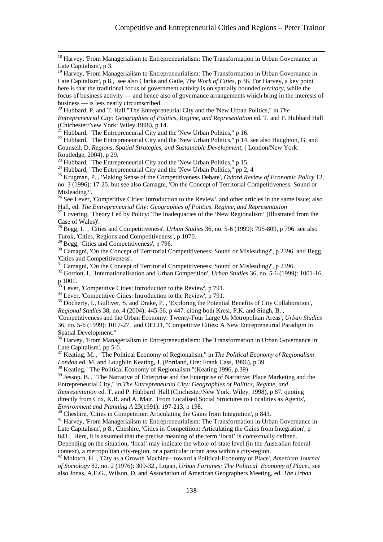<sup>18</sup> Harvey, 'From Managerialism to Entrepreneurialism: The Transformation in Urban Governance in Late Capitalism', p 3.

 $19$  Harvey, 'From Managerialism to Entrepreneurialism: The Transformation in Urban Governance in Late Capitalism', p 8., see also Clarke and Gaile, *The Work of Cities*, p 36. For Harvey, a key point here is that the traditional focus of government activity is on spatially bounded *territory*, while the focus of business activity — and hence also of governance arrangements which bring in the interests of business — is less neatly circumscribed.

20 Hubbard, P. and T. Hall "The Entrepreneurial City and the 'New Urban Politics," in *The Entrepreneurial City: Geographies of Politics, Regime, and Representation* ed. T. and P. Hubbard Hall (Chichester/New York: Wiley 1998), p 14.<br><sup>21</sup> Hubbard, "The Entrepreneurial City and the 'New Urban Politics," p 16.

<sup>22</sup> Hubbard, "The Entrepreneurial City and the 'New Urban Politics," p 14. see also Haughton, G. and Counsell, D, *Regions, Spatial Strategies, and Sustainable Development,* ( London/New York: Routledge, 2004), p 29.

<sup>23</sup> Hubbard, "The Entrepreneurial City and the 'New Urban Politics," p 15.<br><sup>24</sup> Hubbard, "The Entrepreneurial City and the 'New Urban Politics," pp 2, 4<br><sup>25</sup> Krugman, P., 'Making Sense of the Competitiveness Debate', *Ox* no. 3 (1996): 17-25. but see also Camagni, 'On the Concept of Territorial Competitiveness: Sound or Misleading?'.

<sup>26</sup> See Lever, 'Competitive Cities: Introduction to the Review'. and other articles in the same issue; also Hall, ed. *The Entrepreneurial City: Geographies of Politics, Regime, and Representation* 27 Lovering, 'Theory Led by Policy: The Inadequacies of the 'New Regionalism' (Illustrated from the

Case of Wales)'.

28 Begg, I. , 'Cities and Competitiveness', *Urban Studies* 36, no. 5-6 (1999): 795-809, p 796. see also Turok, 'Cities, Regions and Competitiveness', p 1070.

<sup>29</sup> Begg, 'Cities and Competitiveness', p 796.

<sup>30</sup> Camagni, 'On the Concept of Territorial Competitiveness: Sound or Misleading?', p 2396. and Begg, 'Cities and Competitiveness'.

<sup>31</sup> Camagni, 'On the Concept of Territorial Competitiveness: Sound or Misleading?', p 2396.

32 Gordon, I., 'Internationalisation and Urban Competition', *Urban Studies* 36, no. 5-6 (1999): 1001-16, p 1001.

 $33$  Lever, 'Competitive Cities: Introduction to the Review', p 791.

<sup>34</sup> Lever, 'Competitive Cities: Introduction to the Review', p 791.

<sup>35</sup> Docherty, I., Gulliver, S. and Drake, P., 'Exploring the Potential Benefits of City Collaboration', *Regional Studies* 38, no. 4 (2004): 445-56, p 447. citing both Kresl, P.K. and Singh, B. ,

'Competitiveness and the Urban Economy: Twenty-Four Large Us Metropolitan Areas', *Urban Studies*  36, no. 5-6 (1999): 1017-27. and OECD, "Competitive Cities: A New Entrepreneurial Paradigm in Spatial Development."

36 Harvey, 'From Managerialism to Entrepreneurialism: The Transformation in Urban Governance in Late Capitalism', pp 5-6.

<sup>37</sup> Keating, M., "The Political Economy of Regionalism," in *The Political Economy of Regionalism London* ed. M. and Loughlin Keating, J. (Portland, Ore: Frank Cass, 1996), p 39.

<sup>38</sup> Keating, "The Political Economy of Regionalism."(Keating 1996, p.39)

<sup>39</sup> Jessop, B., "The Narrative of Enterprise and the Enterprise of Narrative: Place Marketing and the Entrepreneurial City," in *The Entrepreneurial City: Geographies of Politics, Regime, and Representation* ed. T. and P. Hubbard Hall (Chichester/New York: Wiley, 1998), p 87. quoting directly from Cox, K.R. and A. Mair, 'From Localised Social Structures to Localities as Agents', *Environment and Planning A* 23(1991): 197-213, p 198.

*A*<sup>40</sup> Cheshire, 'Cities in Competition: Articulating the Gains from Integration', p 843.

<sup>41</sup> Harvey, 'From Managerialism to Entrepreneurialism: The Transformation in Urban Governance in Late Capitalism', p 8., Cheshire, 'Cities in Competition: Articulating the Gains from Integration', p 843.; Here, it is assumed that the precise meaning of the term 'local' is contextually defined. Depending on the situation, 'local' may indicate the whole-of-state level (in the Australian federal

context), a metropolitan city-region, or a particular urban area within a city-region. 42 Molotch, H. , 'City as a Growth Machine - toward a Political-Economy of Place', *American Journal of Sociology* 82, no. 2 (1976): 309-32., Logan, *Urban Fortunes: The Political Economy of Place*., see also Jonas, A.E.G., Wilson, D. and Association of American Geographers Meeting, ed. *The Urban*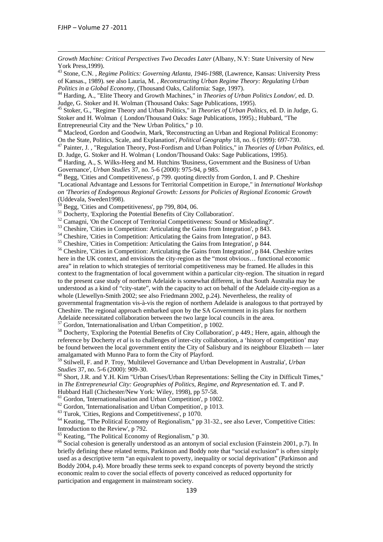*Growth Machine: Critical Perspectives Two Decades Later* (Albany, N.Y: State University of New York Press,1999).

<u> Alexandro de la contrada de la contrada de la contrada de la contrada de la contrada de la contrada de la co</u>

43 Stone, C.N. , *Regime Politics: Governing Atlanta, 1946-1988,* (Lawrence, Kansas: University Press of Kansas., 1989). see also Lauria, M. , *Reconstructing Urban Regime Theory: Regulating Urban* 

<sup>44</sup> Harding, A., "Elite Theory and Growth Machines," in *Theories of Urban Politics London*/, ed. D. Judge, G. Stoker and H. Wolman (Thousand Oaks: Sage Publications, 1995).

45 Stoker, G., "Regime Theory and Urban Politics," in *Theories of Urban Politics*, ed. D. in Judge, G. Stoker and H. Wolman ( London/Thousand Oaks: Sage Publications, 1995).; Hubbard, "The Entrepreneurial City and the 'New Urban Politics," p 10.<br><sup>46</sup> Macleod, Gordon and Goodwin, Mark, 'Reconstructing an Urban and Regional Political Economy:

On the State, Politics, Scale, and Explanation', *Political Geography* 18, no. 6 (1999): 697-730. 47 Painter, J. , "Regulation Theory, Post-Fordism and Urban Politics," in *Theories of Urban Politics*, ed.

D. Judge, G. Stoker and H. Wolman ( London/Thousand Oaks: Sage Publications, 1995).

48 Harding, A., S. Wilks-Heeg and M. Hutchins 'Business, Government and the Business of Urban Governance', *Urban Studies* 37, no. 5-6 (2000): 975-94, p 985.

49 Begg, 'Cities and Competitiveness', p 799. quoting directly from Gordon, I. and P. Cheshire "Locational Advantage and Lessons for Territorial Competition in Europe," in *International Workshop on 'Theories of Endogenous Regional Growth: Lessons for Policies of Regional Economic Growth* (Uddevala, Sweden1998).

 $50$  Begg, 'Cities and Competitiveness', pp 799, 804, 06.

<sup>51</sup> Docherty, 'Exploring the Potential Benefits of City Collaboration'.

<sup>52</sup> Camagni, 'On the Concept of Territorial Competitiveness: Sound or Misleading?'.

<sup>53</sup> Cheshire, 'Cities in Competition: Articulating the Gains from Integration', p 843.

<sup>54</sup> Cheshire, 'Cities in Competition: Articulating the Gains from Integration', p 843.

<sup>55</sup> Cheshire, 'Cities in Competition: Articulating the Gains from Integration', p 844.

<sup>56</sup> Cheshire, 'Cities in Competition: Articulating the Gains from Integration', p 844. Cheshire writes here in the UK context, and envisions the city-region as the "most obvious… functional economic area" in relation to which strategies of territorial competitiveness may be framed. He alludes in this context to the fragmentation of local government within a particular city-region. The situation in regard to the present case study of northern Adelaide is somewhat different, in that South Australia may be understood as a kind of "city-state", with the capacity to act on behalf of the Adelaide city-region as a whole (Llewellyn-Smith 2002; see also Friedmann 2002, p.24). Nevertheless, the reality of governmental fragmentation vis-à-vis the region of northern Adelaide is analogous to that portrayed by Cheshire. The regional approach embarked upon by the SA Government in its plans for northern Adelaide necessitated collaboration between the two large local councils in the area. 57 Gordon, 'Internationalisation and Urban Competition', p 1002.

58 Docherty, 'Exploring the Potential Benefits of City Collaboration', p 449.; Here, again, although the reference by Docherty *et al* is to challenges of inter-city collaboration, a 'history of competition' may be found between the local government entity the City of Salisbury and its neighbour Elizabeth — later amalgamated with Munno Para to form the City of Playford.

59 Stilwell, F. and P. Troy, 'Multilevel Governance and Urban Development in Australia', *Urban* 

<sup>60</sup> Short, J.R. and Y.H. Kim "Urban Crises/Urban Representations: Selling the City in Difficult Times," in *The Entrepreneurial City: Geographies of Politics, Regime, and Representation* ed. T. and P. Hubbard Hall (Chichester/New York: Wiley, 1998), pp 57-58.

<sup>61</sup> Gordon, 'Internationalisation and Urban Competition', p 1002.

 $62$  Gordon, 'Internationalisation and Urban Competition', p 1013.

63 Turok, 'Cities, Regions and Competitiveness', p 1070.

64 Keating, "The Political Economy of Regionalism," pp 31-32., see also Lever, 'Competitive Cities: Introduction to the Review', p 792.

 $<sup>65</sup>$  Keating, "The Political Economy of Regionalism," p 30.</sup>

<sup>66</sup> Social cohesion is generally understood as an antonym of social exclusion (Fainstein 2001, p.7). In briefly defining these related terms, Parkinson and Boddy note that "social exclusion" is often simply used as a descriptive term "an equivalent to poverty, inequality or social deprivation" (Parkinson and Boddy 2004, p.4). More broadly these terms seek to expand concepts of poverty beyond the strictly economic realm to cover the social effects of poverty conceived as reduced opportunity for participation and engagement in mainstream society.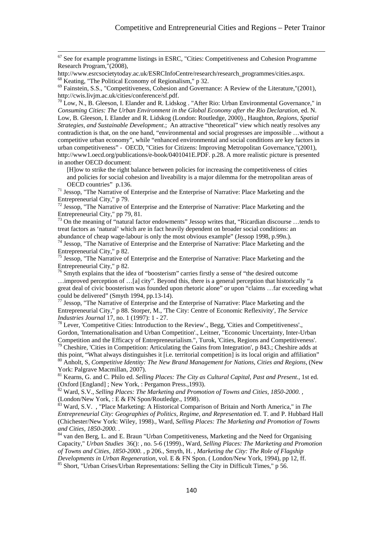<sup>67</sup> See for example programme listings in ESRC, "Cities: Competitiveness and Cohesion Programme Research Program,"(2008),

http://www.esrcsocietytoday.ac.uk/ESRCInfoCentre/research/research\_programmes/cities.aspx. 68 Keating, "The Political Economy of Regionalism," p 32.

<sup>69</sup> Fainstein, S.S., "Competitiveness, Cohesion and Governance: A Review of the Literature,"(2001), http://cwis.livjm.ac.uk/cities/conference/sf.pdf.

 $^{70}$  Low, N., B. Gleeson, I. Elander and R. Lidskog . "After Rio: Urban Environmental Governance," in *Consuming Cities: The Urban Environment in the Global Economy after the Rio Declaration*, ed. N. Low, B. Gleeson, I. Elander and R. Lidskog (London: Routledge, 2000)., Haughton, *Regions, Spatial Strategies, and Sustainable Development*.; An attractive "theoretical" view which neatly resolves any contradiction is that, on the one hand, "environmental and social progresses are impossible …without a competitive urban economy", while "enhanced environmental and social conditions are key factors in urban competitiveness" - OECD, "Cities for Citizens: Improving Metropolitan Governance,"(2001), http://www1.oecd.org/publications/e-book/0401041E.PDF. p.28. A more realistic picture is presented in another OECD document:

[H]ow to strike the right balance between policies for increasing the competitiveness of cities and policies for social cohesion and liveability is a major dilemma for the metropolitan areas of OECD countries" p.136.

 $\frac{1}{2}$  Jessop, "The Narrative of Enterprise and the Enterprise of Narrative: Place Marketing and the Entrepreneurial City," p 79.

 $72$  Jessop, "The Narrative of Enterprise and the Enterprise of Narrative: Place Marketing and the Entrepreneurial City," pp 79, 81.

<sup>73</sup> On the meaning of "natural factor endowments" Jessop writes that, "Ricardian discourse ...tends to treat factors as 'natural' which are in fact heavily dependent on broader social conditions: an abundance of cheap wage-labour is only the most obvious example" (Jessop 1998, p.99n.).

 $74$  Jessop, "The Narrative of Enterprise and the Enterprise of Narrative: Place Marketing and the Entrepreneurial City," p 82.

 $75$  Jessop, "The Narrative of Enterprise and the Enterprise of Narrative: Place Marketing and the Entrepreneurial City," p 82.

<sup>76</sup> Smyth explains that the idea of "boosterism" carries firstly a sense of "the desired outcome …improved perception of …[a] city". Beyond this, there is a general perception that historically "a great deal of civic boosterism was founded upon rhetoric alone" or upon "claims …far exceeding what could be delivered" (Smyth 1994, pp.13-14).

<sup>77</sup> Jessop, "The Narrative of Enterprise and the Enterprise of Narrative: Place Marketing and the Entrepreneurial City," p 88. Storper, M., 'The City: Centre of Economic Reflexivity', *The Service Industries Journal* 17, no. 1 (1997): 1 - 27.<br><sup>78</sup> Lever, 'Competitive Cities: Introduction to the Review'., Begg, 'Cities and Competitiveness'.,

Gordon, 'Internationalisation and Urban Competition'., Leitner, "Economic Uncertainty, Inter-Urban Competition and the Efficacy of Entrepreneurialism.", Turok, 'Cities, Regions and Competitiveness'.

<sup>79</sup> Cheshire. 'Cities in Competition: Articulating the Gains from Integration', p 843.; Cheshire adds at this point, "What always distinguishes it [i.e. territorial competition] is its local origin and affiliation" 80 Anholt, S, *Competitive Identity: The New Brand Management for Nations, Cities and Regions,* (New York: Palgrave Macmillan, 2007).

81 Kearns, G. and C. Philo ed. *Selling Places: The City as Cultural Capital, Past and Present.*, 1st ed. (Oxford [England] ; New York, : Pergamon Press.,1993).

82 Ward, S.V., *Selling Places: The Marketing and Promotion of Towns and Cities, 1850-2000. ,* (London/New York, : E & FN Spon/Routledge., 1998).

<sup>83</sup> Ward, S.V. , "Place Marketing: A Historical Comparison of Britain and North America," in *The Entrepreneurial City: Geographies of Politics, Regime, and Representation* ed. T. and P. Hubbard Hall (Chichester/New York: Wiley, 1998)., Ward, *Selling Places: The Marketing and Promotion of Towns* 

<sup>84</sup> van den Berg, L. and E. Braun "Urban Competitiveness, Marketing and the Need for Organising Capacity," *Urban Studies* 36(): , no. 5-6 (1999)., Ward, *Selling Places: The Marketing and Promotion of Towns and Cities, 1850-2000.* , p 206., Smyth, H. , *Marketing the City: The Role of Flagship Developments in Urban Regeneration*, vol. E & FN Spon. ( London/New York, 1994), pp 12, ff. <sup>85</sup> Short, "Urban Crises/Urban Representations: Selling the City in Difficult Times," p 56.